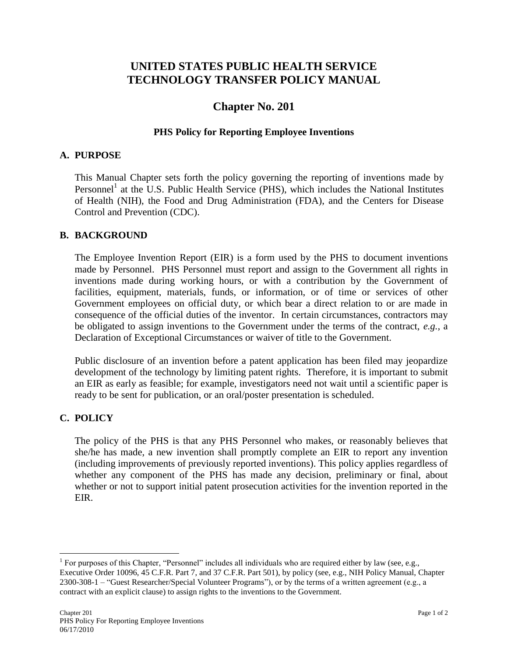# **UNITED STATES PUBLIC HEALTH SERVICE TECHNOLOGY TRANSFER POLICY MANUAL**

## **Chapter No. 201**

## **PHS Policy for Reporting Employee Inventions**

#### **A. PURPOSE**

This Manual Chapter sets forth the policy governing the reporting of inventions made by Personnel<sup>1</sup> at the U.S. Public Health Service (PHS), which includes the National Institutes of Health (NIH), the Food and Drug Administration (FDA), and the Centers for Disease Control and Prevention (CDC).

#### **B. BACKGROUND**

The Employee Invention Report (EIR) is a form used by the PHS to document inventions made by Personnel. PHS Personnel must report and assign to the Government all rights in inventions made during working hours, or with a contribution by the Government of facilities, equipment, materials, funds, or information, or of time or services of other Government employees on official duty, or which bear a direct relation to or are made in consequence of the official duties of the inventor. In certain circumstances, contractors may be obligated to assign inventions to the Government under the terms of the contract, *e.g.*, a Declaration of Exceptional Circumstances or waiver of title to the Government.

Public disclosure of an invention before a patent application has been filed may jeopardize development of the technology by limiting patent rights. Therefore, it is important to submit an EIR as early as feasible; for example, investigators need not wait until a scientific paper is ready to be sent for publication, or an oral/poster presentation is scheduled.

#### **C. POLICY**

 $\overline{a}$ 

The policy of the PHS is that any PHS Personnel who makes, or reasonably believes that she/he has made, a new invention shall promptly complete an EIR to report any invention (including improvements of previously reported inventions). This policy applies regardless of whether any component of the PHS has made any decision, preliminary or final, about whether or not to support initial patent prosecution activities for the invention reported in the EIR.

<sup>&</sup>lt;sup>1</sup> For purposes of this Chapter, "Personnel" includes all individuals who are required either by law (see, e.g., Executive Order 10096, 45 C.F.R. Part 7, and 37 C.F.R. Part 501), by policy (see, e.g., NIH Policy Manual, Chapter 2300-308-1 – "Guest Researcher/Special Volunteer Programs"), or by the terms of a written agreement (e.g., a contract with an explicit clause) to assign rights to the inventions to the Government.